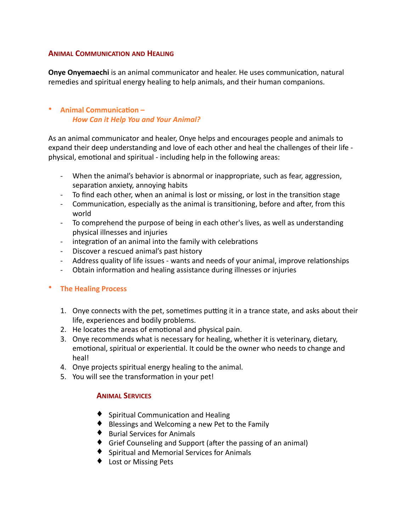## **ANIMAL COMMUNICATION AND HEALING**

**Onye Onyemaechi** is an animal communicator and healer. He uses communication, natural remedies and spiritual energy healing to help animals, and their human companions.

# **Animal Communication -***How Can it Help You and Your Animal?*

As an animal communicator and healer, Onye helps and encourages people and animals to expand their deep understanding and love of each other and heal the challenges of their life physical, emotional and spiritual - including help in the following areas:

- When the animal's behavior is abnormal or inappropriate, such as fear, aggression, separation anxiety, annoying habits
- To find each other, when an animal is lost or missing, or lost in the transition stage
- Communication, especially as the animal is transitioning, before and after, from this world
- To comprehend the purpose of being in each other's lives, as well as understanding physical illnesses and injuries
- integration of an animal into the family with celebrations
- Discover a rescued animal's past history
- Address quality of life issues wants and needs of your animal, improve relationships
- Obtain information and healing assistance during illnesses or injuries

## **• The Healing Process**

- 1. Onye connects with the pet, sometimes putting it in a trance state, and asks about their life, experiences and bodily problems.
- 2. He locates the areas of emotional and physical pain.
- 3. Onye recommends what is necessary for healing, whether it is veterinary, dietary, emotional, spiritual or experiential. It could be the owner who needs to change and heal!
- 4. Onye projects spiritual energy healing to the animal.
- 5. You will see the transformation in your pet!

## **ANIMAL SERVICES**

- $\blacklozenge$  Spiritual Communication and Healing
- $\bullet$  Blessings and Welcoming a new Pet to the Family
- $\blacklozenge$  Burial Services for Animals
- $\blacklozenge$  Grief Counseling and Support (after the passing of an animal)
- $\blacklozenge$  Spiritual and Memorial Services for Animals
- ◆ Lost or Missing Pets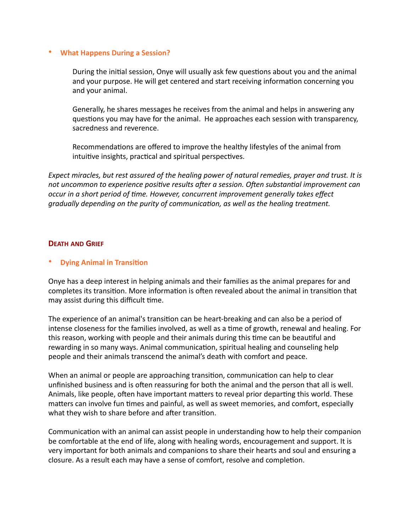#### **• What Happens During a Session?**

During the initial session, Onye will usually ask few questions about you and the animal and your purpose. He will get centered and start receiving information concerning you and your animal.

Generally, he shares messages he receives from the animal and helps in answering any questions you may have for the animal. He approaches each session with transparency, sacredness and reverence.

Recommendations are offered to improve the healthy lifestyles of the animal from intuitive insights, practical and spiritual perspectives.

*Expect miracles, but rest assured of the healing power of natural remedies, prayer and trust. It is* not uncommon to experience positive results after a session. Often substantial improvement can *occur* in a short period of time. However, concurrent improvement generally takes effect *gradually depending on the purity of communication, as well as the healing treatment.* 

## **DEATH AND GRIEF**

## **Dying Animal in Transition**

Onye has a deep interest in helping animals and their families as the animal prepares for and completes its transition. More information is often revealed about the animal in transition that may assist during this difficult time.

The experience of an animal's transition can be heart-breaking and can also be a period of intense closeness for the families involved, as well as a time of growth, renewal and healing. For this reason, working with people and their animals during this time can be beautiful and rewarding in so many ways. Animal communication, spiritual healing and counseling help people and their animals transcend the animal's death with comfort and peace.

When an animal or people are approaching transition, communication can help to clear unfinished business and is often reassuring for both the animal and the person that all is well. Animals, like people, often have important matters to reveal prior departing this world. These matters can involve fun times and painful, as well as sweet memories, and comfort, especially what they wish to share before and after transition.

Communication with an animal can assist people in understanding how to help their companion be comfortable at the end of life, along with healing words, encouragement and support. It is very important for both animals and companions to share their hearts and soul and ensuring a closure. As a result each may have a sense of comfort, resolve and completion.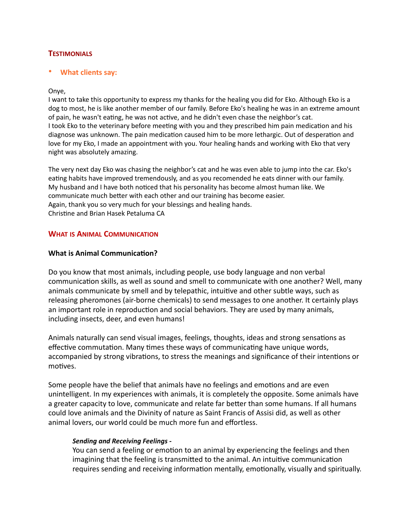# **TESTIMONIALS**

#### **What clients say:**

#### Onye,

I want to take this opportunity to express my thanks for the healing you did for Eko. Although Eko is a dog to most, he is like another member of our family. Before Eko's healing he was in an extreme amount of pain, he wasn't eating, he was not active, and he didn't even chase the neighbor's cat. I took Eko to the veterinary before meeting with you and they prescribed him pain medication and his diagnose was unknown. The pain medication caused him to be more lethargic. Out of desperation and love for my Eko, I made an appointment with you. Your healing hands and working with Eko that very night was absolutely amazing.

The very next day Eko was chasing the neighbor's cat and he was even able to jump into the car. Eko's eating habits have improved tremendously, and as you recomended he eats dinner with our family. My husband and I have both noticed that his personality has become almost human like. We communicate much better with each other and our training has become easier. Again, thank you so very much for your blessings and healing hands. Christine and Brian Hasek Petaluma CA

#### **WHAT IS ANIMAL COMMUNICATION**

#### **What is Animal Communication?**

Do you know that most animals, including people, use body language and non verbal communication skills, as well as sound and smell to communicate with one another? Well, many animals communicate by smell and by telepathic, intuitive and other subtle ways, such as releasing pheromones (air-borne chemicals) to send messages to one another. It certainly plays an important role in reproduction and social behaviors. They are used by many animals, including insects, deer, and even humans!

Animals naturally can send visual images, feelings, thoughts, ideas and strong sensations as effective commutation. Many times these ways of communicating have unique words, accompanied by strong vibrations, to stress the meanings and significance of their intentions or motives.

Some people have the belief that animals have no feelings and emotions and are even unintelligent. In my experiences with animals, it is completely the opposite. Some animals have a greater capacity to love, communicate and relate far better than some humans. If all humans could love animals and the Divinity of nature as Saint Francis of Assisi did, as well as other animal lovers, our world could be much more fun and effortless.

#### *Sending and Receiving Feelings -*

You can send a feeling or emotion to an animal by experiencing the feelings and then imagining that the feeling is transmitted to the animal. An intuitive communication requires sending and receiving information mentally, emotionally, visually and spiritually.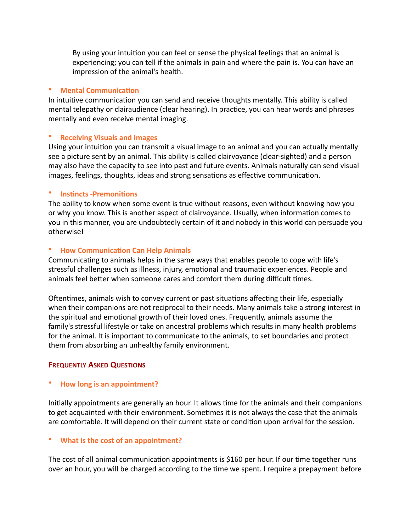By using your intuition you can feel or sense the physical feelings that an animal is experiencing; you can tell if the animals in pain and where the pain is. You can have an impression of the animal's health.

## • **Mental Communication**

In intuitive communication you can send and receive thoughts mentally. This ability is called mental telepathy or clairaudience (clear hearing). In practice, you can hear words and phrases mentally and even receive mental imaging.

## • **Receiving Visuals and Images**

Using your intuition you can transmit a visual image to an animal and you can actually mentally see a picture sent by an animal. This ability is called clairvoyance (clear-sighted) and a person may also have the capacity to see into past and future events. Animals naturally can send visual images, feelings, thoughts, ideas and strong sensations as effective communication.

## • **Instincts -Premonitions**

The ability to know when some event is true without reasons, even without knowing how you or why you know. This is another aspect of clairvoyance. Usually, when information comes to you in this manner, you are undoubtedly certain of it and nobody in this world can persuade you otherwise! 

## • **How Communication Can Help Animals**

Communicating to animals helps in the same ways that enables people to cope with life's stressful challenges such as illness, injury, emotional and traumatic experiences. People and animals feel better when someone cares and comfort them during difficult times.

Oftentimes, animals wish to convey current or past situations affecting their life, especially when their companions are not reciprocal to their needs. Many animals take a strong interest in the spiritual and emotional growth of their loved ones. Frequently, animals assume the family's stressful lifestyle or take on ancestral problems which results in many health problems for the animal. It is important to communicate to the animals, to set boundaries and protect them from absorbing an unhealthy family environment.

## **FREQUENTLY ASKED QUESTIONS**

## **How long is an appointment?**

Initially appointments are generally an hour. It allows time for the animals and their companions to get acquainted with their environment. Sometimes it is not always the case that the animals are comfortable. It will depend on their current state or condition upon arrival for the session.

## **What is the cost of an appointment?**

The cost of all animal communication appointments is \$160 per hour. If our time together runs over an hour, you will be charged according to the time we spent. I require a prepayment before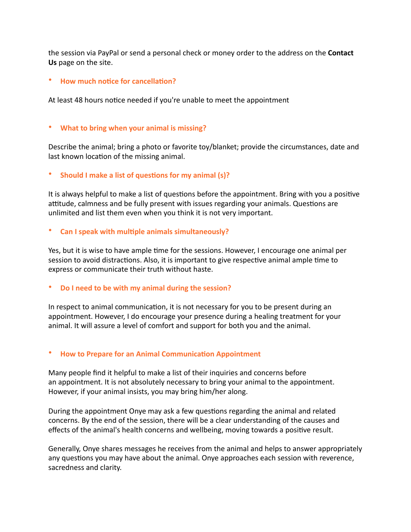the session via PayPal or send a personal check or money order to the address on the **Contact Us** page on the site.

## **How much notice for cancellation?**

At least 48 hours notice needed if you're unable to meet the appointment

## • What to bring when your animal is missing?

Describe the animal; bring a photo or favorite toy/blanket; provide the circumstances, date and last known location of the missing animal.

**Should I make a list of questions for my animal (s)?** 

It is always helpful to make a list of questions before the appointment. Bring with you a positive attitude, calmness and be fully present with issues regarding your animals. Questions are unlimited and list them even when you think it is not very important.

**Can I speak with multiple animals simultaneously?** 

Yes, but it is wise to have ample time for the sessions. However, I encourage one animal per session to avoid distractions. Also, it is important to give respective animal ample time to express or communicate their truth without haste.

**Do I need to be with my animal during the session?** 

In respect to animal communication, it is not necessary for you to be present during an appointment. However, I do encourage your presence during a healing treatment for your animal. It will assure a level of comfort and support for both you and the animal.

#### **How to Prepare for an Animal Communication Appointment**

Many people find it helpful to make a list of their inquiries and concerns before an appointment. It is not absolutely necessary to bring your animal to the appointment. However, if your animal insists, you may bring him/her along.

During the appointment Onye may ask a few questions regarding the animal and related concerns. By the end of the session, there will be a clear understanding of the causes and effects of the animal's health concerns and wellbeing, moving towards a positive result.

Generally, Onye shares messages he receives from the animal and helps to answer appropriately any questions you may have about the animal. Onye approaches each session with reverence, sacredness and clarity.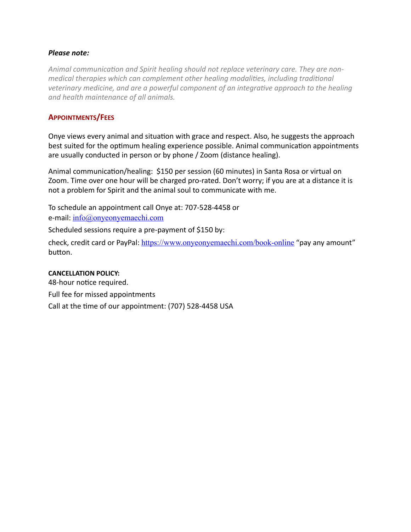## *Please note:*

Animal communication and Spirit healing should not replace veterinary care. They are non*medical* therapies which can complement other healing modalities, including traditional veterinary medicine, and are a powerful component of an integrative approach to the healing *and health maintenance of all animals.* 

# **APPOINTMENTS/FEES**

Onye views every animal and situation with grace and respect. Also, he suggests the approach best suited for the optimum healing experience possible. Animal communication appointments are usually conducted in person or by phone / Zoom (distance healing).

Animal communication/healing: \$150 per session (60 minutes) in Santa Rosa or virtual on Zoom. Time over one hour will be charged pro-rated. Don't worry; if you are at a distance it is not a problem for Spirit and the animal soul to communicate with me.

To schedule an appointment call Onye at: 707-528-4458 or e-mail:  $info@$ onyeonyemaechi.com

Scheduled sessions require a pre-payment of \$150 by:

check, credit card or PayPal: <https://www.onyeonyemaechi.com/book-online> "pay any amount" button.

#### **CANCELLATION POLICY:**

48-hour notice required. Full fee for missed appointments Call at the time of our appointment: (707) 528-4458 USA